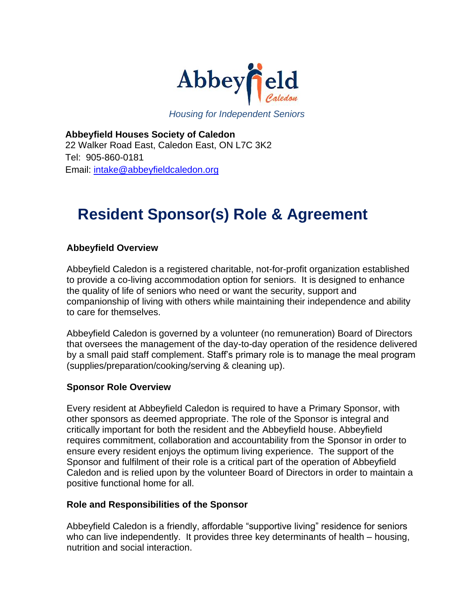

*Housing for Independent Seniors*

**Abbeyfield Houses Society of Caledon** 22 Walker Road East, Caledon East, ON L7C 3K2 Tel: 905-860-0181 Email: [intake@abbeyfieldcaledon.org](mailto:intake@abbeyfieldcaledon.org)

## **Resident Sponsor(s) Role & Agreement**

## **Abbeyfield Overview**

Abbeyfield Caledon is a registered charitable, not-for-profit organization established to provide a co-living accommodation option for seniors. It is designed to enhance the quality of life of seniors who need or want the security, support and companionship of living with others while maintaining their independence and ability to care for themselves.

Abbeyfield Caledon is governed by a volunteer (no remuneration) Board of Directors that oversees the management of the day-to-day operation of the residence delivered by a small paid staff complement. Staff's primary role is to manage the meal program (supplies/preparation/cooking/serving & cleaning up).

## **Sponsor Role Overview**

Every resident at Abbeyfield Caledon is required to have a Primary Sponsor, with other sponsors as deemed appropriate. The role of the Sponsor is integral and critically important for both the resident and the Abbeyfield house. Abbeyfield requires commitment, collaboration and accountability from the Sponsor in order to ensure every resident enjoys the optimum living experience. The support of the Sponsor and fulfilment of their role is a critical part of the operation of Abbeyfield Caledon and is relied upon by the volunteer Board of Directors in order to maintain a positive functional home for all.

## **Role and Responsibilities of the Sponsor**

Abbeyfield Caledon is a friendly, affordable "supportive living" residence for seniors who can live independently. It provides three key determinants of health – housing, nutrition and social interaction.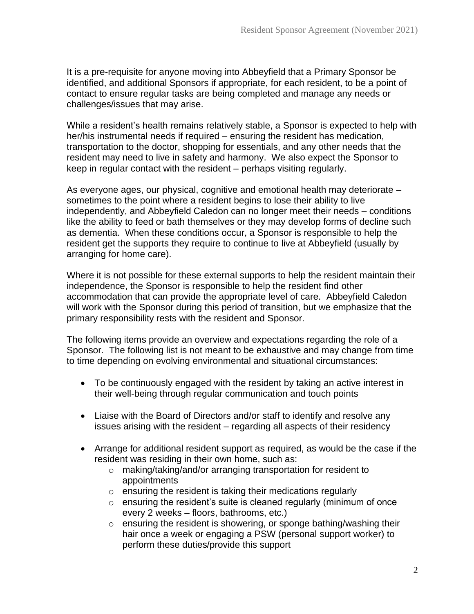It is a pre-requisite for anyone moving into Abbeyfield that a Primary Sponsor be identified, and additional Sponsors if appropriate, for each resident, to be a point of contact to ensure regular tasks are being completed and manage any needs or challenges/issues that may arise.

While a resident's health remains relatively stable, a Sponsor is expected to help with her/his instrumental needs if required – ensuring the resident has medication, transportation to the doctor, shopping for essentials, and any other needs that the resident may need to live in safety and harmony. We also expect the Sponsor to keep in regular contact with the resident – perhaps visiting regularly.

As everyone ages, our physical, cognitive and emotional health may deteriorate – sometimes to the point where a resident begins to lose their ability to live independently, and Abbeyfield Caledon can no longer meet their needs – conditions like the ability to feed or bath themselves or they may develop forms of decline such as dementia. When these conditions occur, a Sponsor is responsible to help the resident get the supports they require to continue to live at Abbeyfield (usually by arranging for home care).

Where it is not possible for these external supports to help the resident maintain their independence, the Sponsor is responsible to help the resident find other accommodation that can provide the appropriate level of care. Abbeyfield Caledon will work with the Sponsor during this period of transition, but we emphasize that the primary responsibility rests with the resident and Sponsor.

The following items provide an overview and expectations regarding the role of a Sponsor. The following list is not meant to be exhaustive and may change from time to time depending on evolving environmental and situational circumstances:

- To be continuously engaged with the resident by taking an active interest in their well-being through regular communication and touch points
- Liaise with the Board of Directors and/or staff to identify and resolve any issues arising with the resident – regarding all aspects of their residency
- Arrange for additional resident support as required, as would be the case if the resident was residing in their own home, such as:
	- o making/taking/and/or arranging transportation for resident to appointments
	- $\circ$  ensuring the resident is taking their medications regularly
	- $\circ$  ensuring the resident's suite is cleaned regularly (minimum of once every 2 weeks – floors, bathrooms, etc.)
	- o ensuring the resident is showering, or sponge bathing/washing their hair once a week or engaging a PSW (personal support worker) to perform these duties/provide this support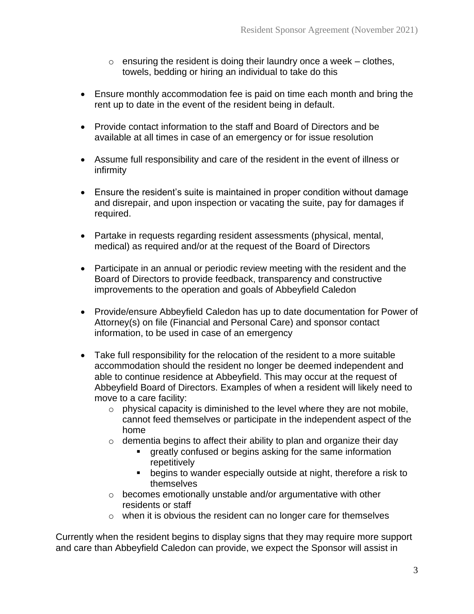- $\circ$  ensuring the resident is doing their laundry once a week clothes, towels, bedding or hiring an individual to take do this
- Ensure monthly accommodation fee is paid on time each month and bring the rent up to date in the event of the resident being in default.
- Provide contact information to the staff and Board of Directors and be available at all times in case of an emergency or for issue resolution
- Assume full responsibility and care of the resident in the event of illness or infirmity
- Ensure the resident's suite is maintained in proper condition without damage and disrepair, and upon inspection or vacating the suite, pay for damages if required.
- Partake in requests regarding resident assessments (physical, mental, medical) as required and/or at the request of the Board of Directors
- Participate in an annual or periodic review meeting with the resident and the Board of Directors to provide feedback, transparency and constructive improvements to the operation and goals of Abbeyfield Caledon
- Provide/ensure Abbeyfield Caledon has up to date documentation for Power of Attorney(s) on file (Financial and Personal Care) and sponsor contact information, to be used in case of an emergency
- Take full responsibility for the relocation of the resident to a more suitable accommodation should the resident no longer be deemed independent and able to continue residence at Abbeyfield. This may occur at the request of Abbeyfield Board of Directors. Examples of when a resident will likely need to move to a care facility:
	- $\circ$  physical capacity is diminished to the level where they are not mobile, cannot feed themselves or participate in the independent aspect of the home
	- $\circ$  dementia begins to affect their ability to plan and organize their day
		- greatly confused or begins asking for the same information repetitively
		- begins to wander especially outside at night, therefore a risk to themselves
	- o becomes emotionally unstable and/or argumentative with other residents or staff
	- o when it is obvious the resident can no longer care for themselves

Currently when the resident begins to display signs that they may require more support and care than Abbeyfield Caledon can provide, we expect the Sponsor will assist in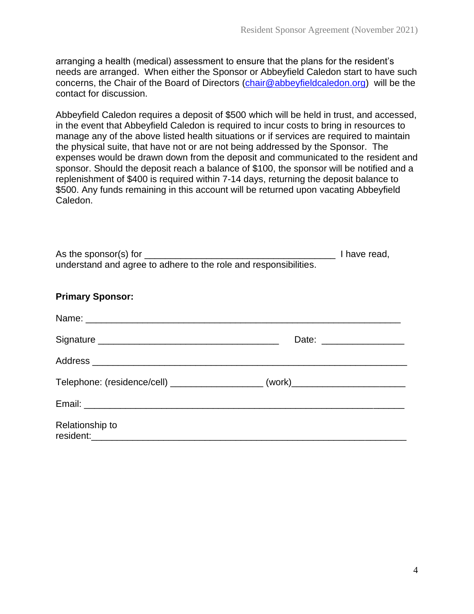arranging a health (medical) assessment to ensure that the plans for the resident's needs are arranged. When either the Sponsor or Abbeyfield Caledon start to have such concerns, the Chair of the Board of Directors [\(chair@abbeyfieldcaledon.org\)](mailto:chair@abbeyfieldcaledon.org) will be the contact for discussion.

Abbeyfield Caledon requires a deposit of \$500 which will be held in trust, and accessed, in the event that Abbeyfield Caledon is required to incur costs to bring in resources to manage any of the above listed health situations or if services are required to maintain the physical suite, that have not or are not being addressed by the Sponsor. The expenses would be drawn down from the deposit and communicated to the resident and sponsor. Should the deposit reach a balance of \$100, the sponsor will be notified and a replenishment of \$400 is required within 7-14 days, returning the deposit balance to \$500. Any funds remaining in this account will be returned upon vacating Abbeyfield Caledon.

| <b>Primary Sponsor:</b>                                                                                                                                                                                                              |  |  |
|--------------------------------------------------------------------------------------------------------------------------------------------------------------------------------------------------------------------------------------|--|--|
| Name: <u>Discovered and the contract of the contract of the contract of the contract of the contract of the contract of the contract of the contract of the contract of the contract of the contract of the contract of the cont</u> |  |  |
|                                                                                                                                                                                                                                      |  |  |
|                                                                                                                                                                                                                                      |  |  |
| Telephone: (residence/cell) _____________________(work)_________________________                                                                                                                                                     |  |  |
|                                                                                                                                                                                                                                      |  |  |
| Relationship to                                                                                                                                                                                                                      |  |  |